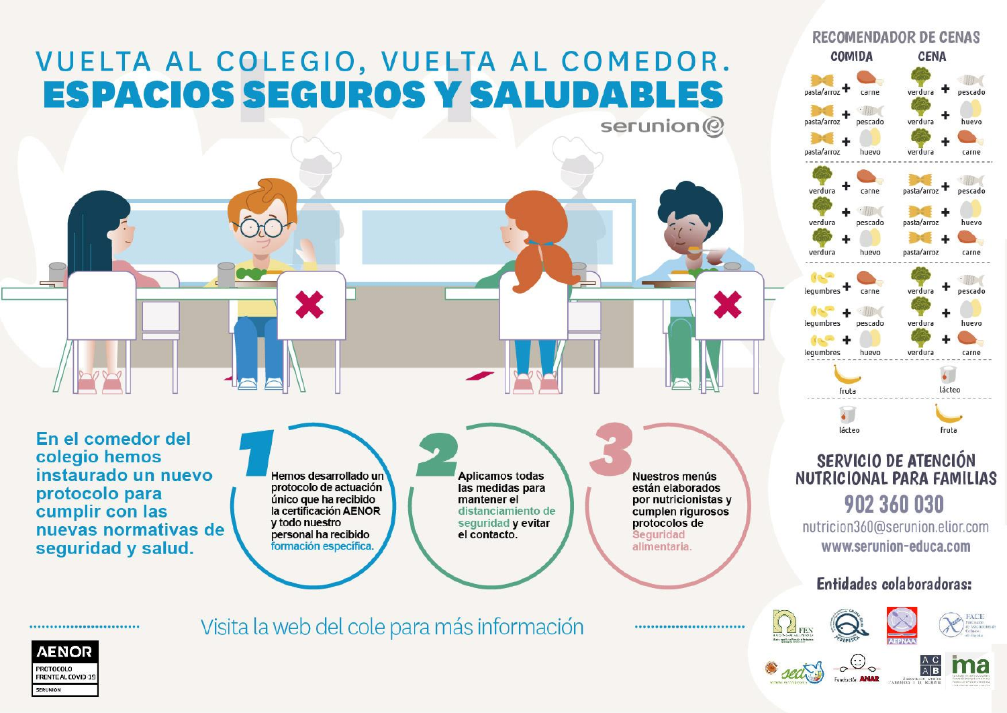